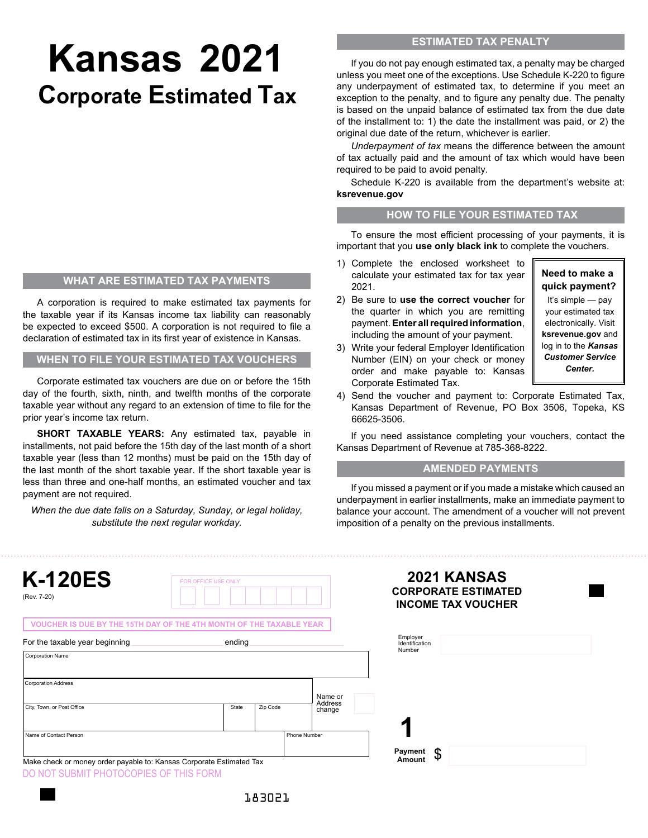# **Kansas 2021 Corporate Estimated Tax**

#### **WHAT ARE ESTIMATED TAX PAYMENTS**

A corporation is required to make estimated tax payments for the taxable year if its Kansas income tax liability can reasonably be expected to exceed \$500. A corporation is not required to file a declaration of estimated tax in its first year of existence in Kansas.

**WHEN TO FILE YOUR ESTIMATED TAX VOUCHERS**

Corporate estimated tax vouchers are due on or before the 15th day of the fourth, sixth, ninth, and twelfth months of the corporate taxable year without any regard to an extension of time to file for the prior year's income tax return.

**SHORT TAXABLE YEARS:** Any estimated tax, payable in installments, not paid before the 15th day of the last month of a short taxable year (less than 12 months) must be paid on the 15th day of the last month of the short taxable year. If the short taxable year is less than three and one-half months, an estimated voucher and tax payment are not required.

*When the due date falls on a Saturday, Sunday, or legal holiday, substitute the next regular workday.*

## **ESTIMATED TAX PENALTY**

If you do not pay enough estimated tax, a penalty may be charged unless you meet one of the exceptions. Use Schedule K-220 to figure any underpayment of estimated tax, to determine if you meet an exception to the penalty, and to figure any penalty due. The penalty is based on the unpaid balance of estimated tax from the due date of the installment to: 1) the date the installment was paid, or 2) the original due date of the return, whichever is earlier.

*Underpayment of tax* means the difference between the amount of tax actually paid and the amount of tax which would have been required to be paid to avoid penalty.

Schedule K-220 is available from the department's website at: **ksrevenue.gov**

#### **HOW TO FILE YOUR ESTIMATED TAX**

To ensure the most efficient processing of your payments, it is important that you **use only black ink** to complete the vouchers.

- 1) Complete the enclosed worksheet to calculate your estimated tax for tax year 2021.
- 2) Be sure to **use the correct voucher** for the quarter in which you are remitting payment. **Enter all required information**, including the amount of your payment.
- 3) Write your federal Employer Identification Number (EIN) on your check or money order and make payable to: Kansas Corporate Estimated Tax.

**Need to make a quick payment?**

It's simple — pay your estimated tax electronically. Visit **ksrevenue.gov** and log in to the *Kansas Customer Service Center.*

4) Send the voucher and payment to: Corporate Estimated Tax, Kansas Department of Revenue, PO Box 3506, Topeka, KS 66625-3506.

If you need assistance completing your vouchers, contact the Kansas Department of Revenue at 785-368-8222.

#### **AMENDED PAYMENTS**

If you missed a payment or if you made a mistake which caused an underpayment in earlier installments, make an immediate payment to balance your account. The amendment of a voucher will not prevent imposition of a penalty on the previous installments.

| <b>K-120ES</b><br>(Rev. 7-20)                                       | FOR OFFICE USE ONLY |              |                   | <b>2021 KANSAS</b><br><b>CORPORATE ESTIMATED</b><br><b>INCOME TAX VOUCHER</b> |  |
|---------------------------------------------------------------------|---------------------|--------------|-------------------|-------------------------------------------------------------------------------|--|
| VOUCHER IS DUE BY THE 15TH DAY OF THE 4TH MONTH OF THE TAXABLE YEAR |                     |              |                   |                                                                               |  |
| For the taxable year beginning                                      | ending              |              |                   | Employer<br>Identification<br>Number                                          |  |
| <b>Corporation Address</b>                                          |                     |              |                   |                                                                               |  |
|                                                                     |                     |              |                   |                                                                               |  |
|                                                                     |                     |              | Name or           |                                                                               |  |
| City, Town, or Post Office                                          | State               | Zip Code     | Address<br>change |                                                                               |  |
| Name of Contact Person                                              |                     | Phone Number |                   |                                                                               |  |

DO NOT SUBMIT PHOTOCOPIES OF THIS FORM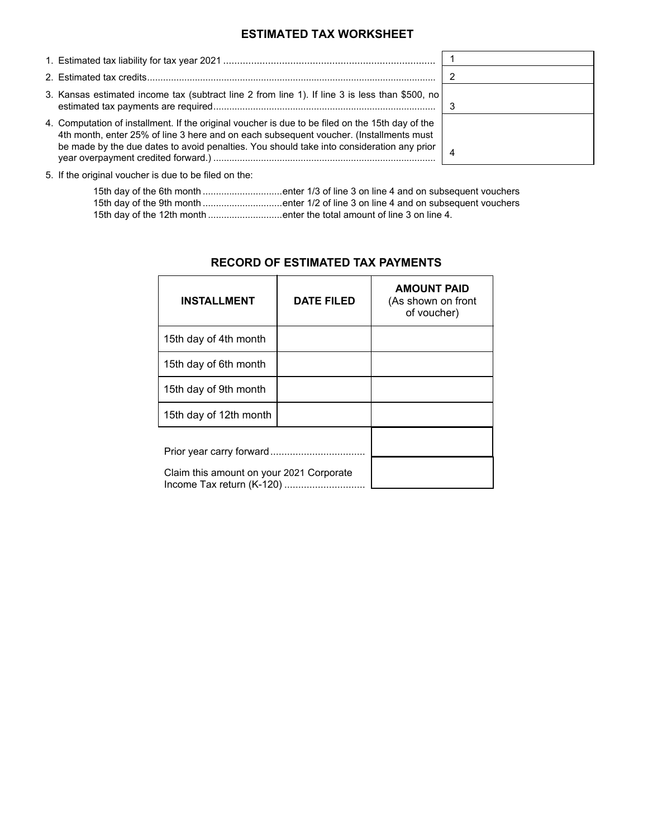## **ESTIMATED TAX WORKSHEET**

| 3. Kansas estimated income tax (subtract line 2 from line 1). If line 3 is less than \$500, no                                                                                                                                                                                          |   |
|-----------------------------------------------------------------------------------------------------------------------------------------------------------------------------------------------------------------------------------------------------------------------------------------|---|
| 4. Computation of installment. If the original voucher is due to be filed on the 15th day of the<br>4th month, enter 25% of line 3 here and on each subsequent voucher. (Installments must<br>be made by the due dates to avoid penalties. You should take into consideration any prior | 4 |

5. If the original voucher is due to be filed on the:

|                                                                        | 15th day of the 6th month enter 1/3 of line 3 on line 4 and on subsequent vouchers |
|------------------------------------------------------------------------|------------------------------------------------------------------------------------|
|                                                                        | 15th day of the 9th month enter 1/2 of line 3 on line 4 and on subsequent vouchers |
| 15th day of the 12th month enter the total amount of line 3 on line 4. |                                                                                    |

| <b>INSTALLMENT</b>                       | <b>DATE FILED</b> | <b>AMOUNT PAID</b><br>(As shown on front<br>of voucher) |
|------------------------------------------|-------------------|---------------------------------------------------------|
| 15th day of 4th month                    |                   |                                                         |
| 15th day of 6th month                    |                   |                                                         |
| 15th day of 9th month                    |                   |                                                         |
| 15th day of 12th month                   |                   |                                                         |
|                                          |                   |                                                         |
| Claim this amount on your 2021 Corporate |                   |                                                         |

#### **RECORD OF ESTIMATED TAX PAYMENTS**